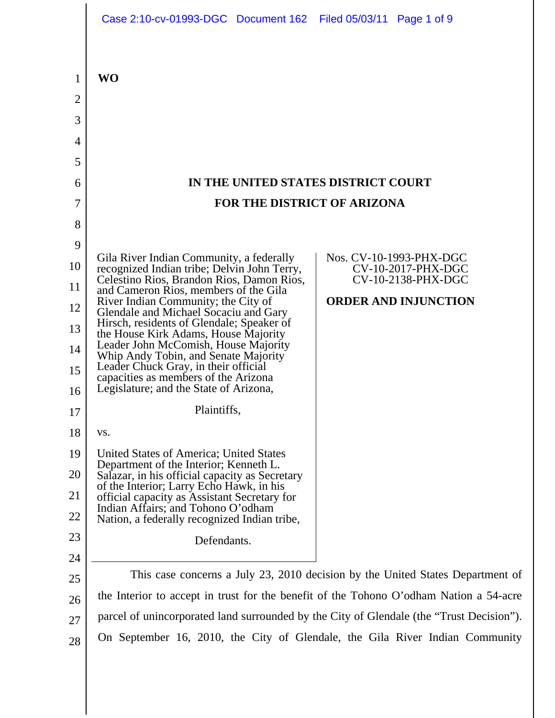|                                         | Case 2:10-cv-01993-DGC Document 162 Filed 05/03/11 Page 1 of 9                                                                                                 |                                               |
|-----------------------------------------|----------------------------------------------------------------------------------------------------------------------------------------------------------------|-----------------------------------------------|
| 1<br>$\overline{2}$<br>3<br>4<br>5<br>6 | <b>WO</b><br>IN THE UNITED STATES DISTRICT COURT                                                                                                               |                                               |
| 7                                       | <b>FOR THE DISTRICT OF ARIZONA</b>                                                                                                                             |                                               |
| 8                                       |                                                                                                                                                                |                                               |
| 9                                       |                                                                                                                                                                |                                               |
| 10                                      | Gila River Indian Community, a federally<br>recognized Indian tribe; Delvin John Terry,                                                                        | Nos. CV-10-1993-PHX-DGC<br>CV-10-2017-PHX-DGC |
| 11                                      | Celestino Rios, Brandon Rios, Damon Rios,                                                                                                                      | CV-10-2138-PHX-DGC                            |
| 12                                      | and Cameron Rios, members of the Gila<br>River Indian Community; the City of                                                                                   | <b>ORDER AND INJUNCTION</b>                   |
| 13                                      | Glendale and Michael Socaciu and Gary<br>Hirsch, residents of Glendale; Speaker of                                                                             |                                               |
| 14                                      | the House Kirk Adams, House Majority<br>Leader John McComish, House Majority                                                                                   |                                               |
| 15                                      | Whip Andy Tobin, and Senate Majority<br>Leader Chuck Gray, in their official<br>capacities as members of the Arizona<br>Legislature; and the State of Arizona, |                                               |
| 16                                      |                                                                                                                                                                |                                               |
| 17                                      | Plaintiffs,                                                                                                                                                    |                                               |
| 18                                      | VS.                                                                                                                                                            |                                               |
| 19                                      | United States of America; United States<br>Department of the Interior; Kenneth L.                                                                              |                                               |
| 20                                      | Salazar, in his official capacity as Secretary<br>of the Interior; Larry Echo Hawk, in his                                                                     |                                               |
| 21                                      | official capacity as Assistant Secretary for<br>Indian Affairs; and Tohono O'odham                                                                             |                                               |
| 22<br>23                                | Nation, a federally recognized Indian tribe,                                                                                                                   |                                               |
|                                         | Defendants.                                                                                                                                                    |                                               |
| 24<br>25                                | This case concerns a July 23, 2010 decision by the United States Department of                                                                                 |                                               |
| 26                                      | the Interior to accept in trust for the benefit of the Tohono O'odham Nation a 54-acre                                                                         |                                               |
| 27                                      | parcel of unincorporated land surrounded by the City of Glendale (the "Trust Decision").                                                                       |                                               |
| 28                                      | On September 16, 2010, the City of Glendale, the Gila River Indian Community                                                                                   |                                               |
|                                         |                                                                                                                                                                |                                               |

 $\overline{\phantom{a}}$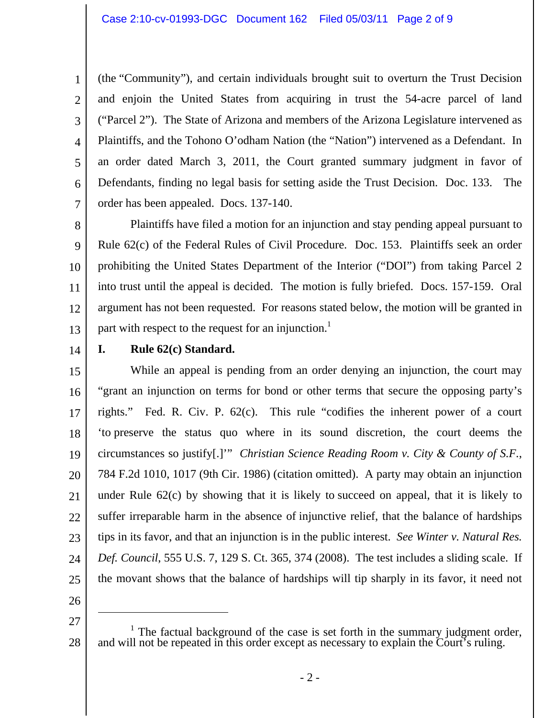1 2 3 4 5 6 7 (the "Community"), and certain individuals brought suit to overturn the Trust Decision and enjoin the United States from acquiring in trust the 54-acre parcel of land ("Parcel 2"). The State of Arizona and members of the Arizona Legislature intervened as Plaintiffs, and the Tohono O'odham Nation (the "Nation") intervened as a Defendant. In an order dated March 3, 2011, the Court granted summary judgment in favor of Defendants, finding no legal basis for setting aside the Trust Decision. Doc. 133. The order has been appealed. Docs. 137-140.

8 9 10 11 12 13 Plaintiffs have filed a motion for an injunction and stay pending appeal pursuant to Rule 62(c) of the Federal Rules of Civil Procedure. Doc. 153. Plaintiffs seek an order prohibiting the United States Department of the Interior ("DOI") from taking Parcel 2 into trust until the appeal is decided. The motion is fully briefed. Docs. 157-159. Oral argument has not been requested. For reasons stated below, the motion will be granted in part with respect to the request for an injunction.<sup>1</sup>

14

## **I. Rule 62(c) Standard.**

15 16 17 18 19 20 21 22 23 24 25 While an appeal is pending from an order denying an injunction, the court may "grant an injunction on terms for bond or other terms that secure the opposing party's rights." Fed. R. Civ. P. 62(c). This rule "codifies the inherent power of a court 'to preserve the status quo where in its sound discretion, the court deems the circumstances so justify[.]'" *Christian Science Reading Room v. City & County of S.F.*, 784 F.2d 1010, 1017 (9th Cir. 1986) (citation omitted). A party may obtain an injunction under Rule 62(c) by showing that it is likely to succeed on appeal, that it is likely to suffer irreparable harm in the absence of injunctive relief, that the balance of hardships tips in its favor, and that an injunction is in the public interest. *See Winter v. Natural Res. Def. Council*, 555 U.S. 7, 129 S. Ct. 365, 374 (2008). The test includes a sliding scale. If the movant shows that the balance of hardships will tip sharply in its favor, it need not

26 27

 $\overline{a}$ 

28 <sup>1</sup> The factual background of the case is set forth in the summary judgment order, and will not be repeated in this order except as necessary to explain the Court's ruling.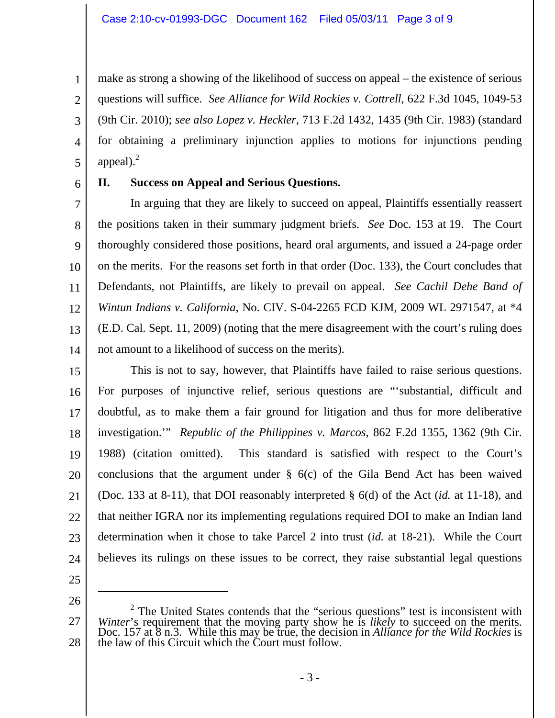make as strong a showing of the likelihood of success on appeal – the existence of serious questions will suffice. *See Alliance for Wild Rockies v. Cottrell*, 622 F.3d 1045, 1049-53 (9th Cir. 2010); *see also Lopez v. Heckler*, 713 F.2d 1432, 1435 (9th Cir. 1983) (standard for obtaining a preliminary injunction applies to motions for injunctions pending appeal). $^{2}$ 

5 6

1

2

3

4

#### **II. Success on Appeal and Serious Questions.**

7 8 9 10 11 12 13 14 In arguing that they are likely to succeed on appeal, Plaintiffs essentially reassert the positions taken in their summary judgment briefs. *See* Doc. 153 at 19. The Court thoroughly considered those positions, heard oral arguments, and issued a 24-page order on the merits. For the reasons set forth in that order (Doc. 133), the Court concludes that Defendants, not Plaintiffs, are likely to prevail on appeal. *See Cachil Dehe Band of Wintun Indians v. California*, No. CIV. S-04-2265 FCD KJM, 2009 WL 2971547, at \*4 (E.D. Cal. Sept. 11, 2009) (noting that the mere disagreement with the court's ruling does not amount to a likelihood of success on the merits).

15 16 17 18 19 20 21 22 23 24 This is not to say, however, that Plaintiffs have failed to raise serious questions. For purposes of injunctive relief, serious questions are "'substantial, difficult and doubtful, as to make them a fair ground for litigation and thus for more deliberative investigation.'" *Republic of the Philippines v. Marcos*, 862 F.2d 1355, 1362 (9th Cir. 1988) (citation omitted). This standard is satisfied with respect to the Court's conclusions that the argument under § 6(c) of the Gila Bend Act has been waived (Doc. 133 at 8-11), that DOI reasonably interpreted § 6(d) of the Act (*id.* at 11-18), and that neither IGRA nor its implementing regulations required DOI to make an Indian land determination when it chose to take Parcel 2 into trust (*id.* at 18-21). While the Court believes its rulings on these issues to be correct, they raise substantial legal questions

25

26

<sup>27</sup>  28  $2^2$  The United States contends that the "serious questions" test is inconsistent with *Winter*'s requirement that the moving party show he is *likely* to succeed on the merits. Doc. 157 at 8 n.3. While this may be true, the decision in *Alliance for the Wild Rockies* is the law of this Circuit which the Court must follow.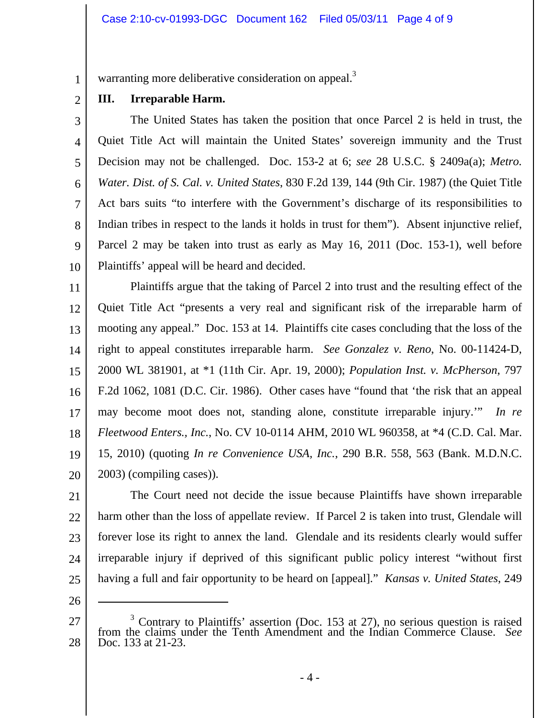warranting more deliberative consideration on appeal.<sup>3</sup>

2 **III. Irreparable Harm.**

1

3 4 5 6 7 8 9 10 The United States has taken the position that once Parcel 2 is held in trust, the Quiet Title Act will maintain the United States' sovereign immunity and the Trust Decision may not be challenged. Doc. 153-2 at 6; *see* 28 U.S.C. § 2409a(a); *Metro. Water. Dist. of S. Cal. v. United States*, 830 F.2d 139, 144 (9th Cir. 1987) (the Quiet Title Act bars suits "to interfere with the Government's discharge of its responsibilities to Indian tribes in respect to the lands it holds in trust for them"). Absent injunctive relief, Parcel 2 may be taken into trust as early as May 16, 2011 (Doc. 153-1), well before Plaintiffs' appeal will be heard and decided.

11 12 13 14 15 16 17 18 19 20 Plaintiffs argue that the taking of Parcel 2 into trust and the resulting effect of the Quiet Title Act "presents a very real and significant risk of the irreparable harm of mooting any appeal." Doc. 153 at 14. Plaintiffs cite cases concluding that the loss of the right to appeal constitutes irreparable harm. *See Gonzalez v. Reno*, No. 00-11424-D, 2000 WL 381901, at \*1 (11th Cir. Apr. 19, 2000); *Population Inst. v. McPherson*, 797 F.2d 1062, 1081 (D.C. Cir. 1986). Other cases have "found that 'the risk that an appeal may become moot does not, standing alone, constitute irreparable injury.'" *In re Fleetwood Enters., Inc.*, No. CV 10-0114 AHM, 2010 WL 960358, at \*4 (C.D. Cal. Mar. 15, 2010) (quoting *In re Convenience USA, Inc.*, 290 B.R. 558, 563 (Bank. M.D.N.C. 2003) (compiling cases)).

21 22 23 24 25 The Court need not decide the issue because Plaintiffs have shown irreparable harm other than the loss of appellate review. If Parcel 2 is taken into trust, Glendale will forever lose its right to annex the land. Glendale and its residents clearly would suffer irreparable injury if deprived of this significant public policy interest "without first having a full and fair opportunity to be heard on [appeal]." *Kansas v. United States*, 249

26

 $\overline{a}$ 

<sup>27</sup>  28 3 Contrary to Plaintiffs' assertion (Doc. 153 at 27), no serious question is raised from the claims under the Tenth Amendment and the Indian Commerce Clause. *See* Doc. 133 at 21-23.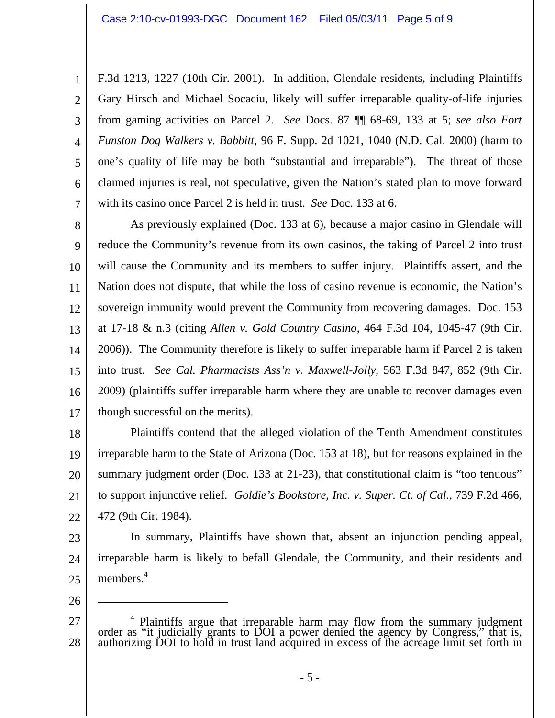4 5 6 7 F.3d 1213, 1227 (10th Cir. 2001). In addition, Glendale residents, including Plaintiffs Gary Hirsch and Michael Socaciu, likely will suffer irreparable quality-of-life injuries from gaming activities on Parcel 2. *See* Docs. 87 ¶¶ 68-69, 133 at 5; *see also Fort Funston Dog Walkers v. Babbitt*, 96 F. Supp. 2d 1021, 1040 (N.D. Cal. 2000) (harm to one's quality of life may be both "substantial and irreparable"). The threat of those claimed injuries is real, not speculative, given the Nation's stated plan to move forward with its casino once Parcel 2 is held in trust. *See* Doc. 133 at 6.

8 9 10 11 12 13 14 15 16 17 As previously explained (Doc. 133 at 6), because a major casino in Glendale will reduce the Community's revenue from its own casinos, the taking of Parcel 2 into trust will cause the Community and its members to suffer injury. Plaintiffs assert, and the Nation does not dispute, that while the loss of casino revenue is economic, the Nation's sovereign immunity would prevent the Community from recovering damages. Doc. 153 at 17-18 & n.3 (citing *Allen v. Gold Country Casino*, 464 F.3d 104, 1045-47 (9th Cir. 2006)). The Community therefore is likely to suffer irreparable harm if Parcel 2 is taken into trust. *See Cal. Pharmacists Ass'n v. Maxwell-Jolly*, 563 F.3d 847, 852 (9th Cir. 2009) (plaintiffs suffer irreparable harm where they are unable to recover damages even though successful on the merits).

18 19 20 21 22 Plaintiffs contend that the alleged violation of the Tenth Amendment constitutes irreparable harm to the State of Arizona (Doc. 153 at 18), but for reasons explained in the summary judgment order (Doc. 133 at 21-23), that constitutional claim is "too tenuous" to support injunctive relief. *Goldie's Bookstore, Inc. v. Super. Ct. of Cal.*, 739 F.2d 466, 472 (9th Cir. 1984).

23 24 25 In summary, Plaintiffs have shown that, absent an injunction pending appeal, irreparable harm is likely to befall Glendale, the Community, and their residents and members.<sup>4</sup>

26

 $\overline{a}$ 

1

2

<sup>27</sup>  28 <sup>4</sup> Plaintiffs argue that irreparable harm may flow from the summary judgment order as "it judicially grants to DOI a power denied the agency by Congress," that is, authorizing DOI to hold in trust land acquired in excess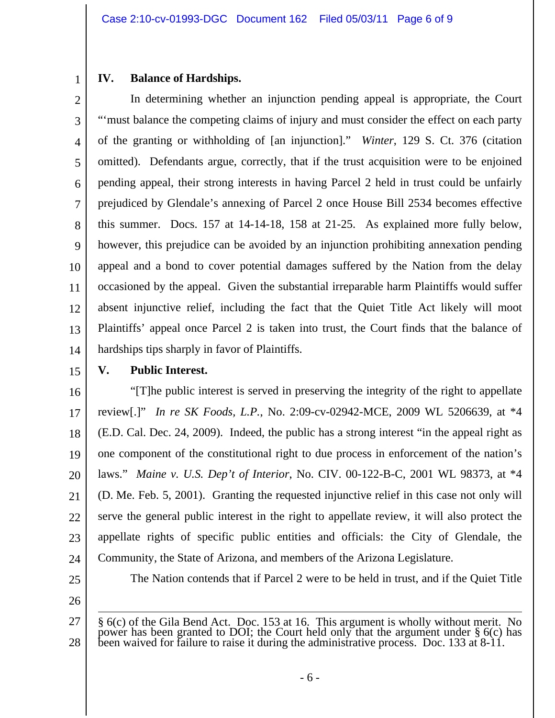# 1

## **IV. Balance of Hardships.**

2 3 4 5 6 7 8 9 10 11 12 13 14 In determining whether an injunction pending appeal is appropriate, the Court "'must balance the competing claims of injury and must consider the effect on each party of the granting or withholding of [an injunction]." *Winter*, 129 S. Ct. 376 (citation omitted). Defendants argue, correctly, that if the trust acquisition were to be enjoined pending appeal, their strong interests in having Parcel 2 held in trust could be unfairly prejudiced by Glendale's annexing of Parcel 2 once House Bill 2534 becomes effective this summer. Docs. 157 at 14-14-18, 158 at 21-25. As explained more fully below, however, this prejudice can be avoided by an injunction prohibiting annexation pending appeal and a bond to cover potential damages suffered by the Nation from the delay occasioned by the appeal. Given the substantial irreparable harm Plaintiffs would suffer absent injunctive relief, including the fact that the Quiet Title Act likely will moot Plaintiffs' appeal once Parcel 2 is taken into trust, the Court finds that the balance of hardships tips sharply in favor of Plaintiffs.

15

## **V. Public Interest.**

16 17 18 19 20 21 22 23 24 "[T]he public interest is served in preserving the integrity of the right to appellate review[.]" *In re SK Foods, L.P.*, No. 2:09-cv-02942-MCE, 2009 WL 5206639, at \*4 (E.D. Cal. Dec. 24, 2009). Indeed, the public has a strong interest "in the appeal right as one component of the constitutional right to due process in enforcement of the nation's laws." *Maine v. U.S. Dep't of Interior*, No. CIV. 00-122-B-C, 2001 WL 98373, at \*4 (D. Me. Feb. 5, 2001).Granting the requested injunctive relief in this case not only will serve the general public interest in the right to appellate review, it will also protect the appellate rights of specific public entities and officials: the City of Glendale, the Community, the State of Arizona, and members of the Arizona Legislature.

25

The Nation contends that if Parcel 2 were to be held in trust, and if the Quiet Title

<sup>27</sup>  28 § 6(c) of the Gila Bend Act. Doc. 153 at 16. This argument is wholly without merit. No power has been granted to DOI; the Court held only that the argument under § 6(c) has been waived for failure to raise it during the administrative process. Doc. 133 at 8-11.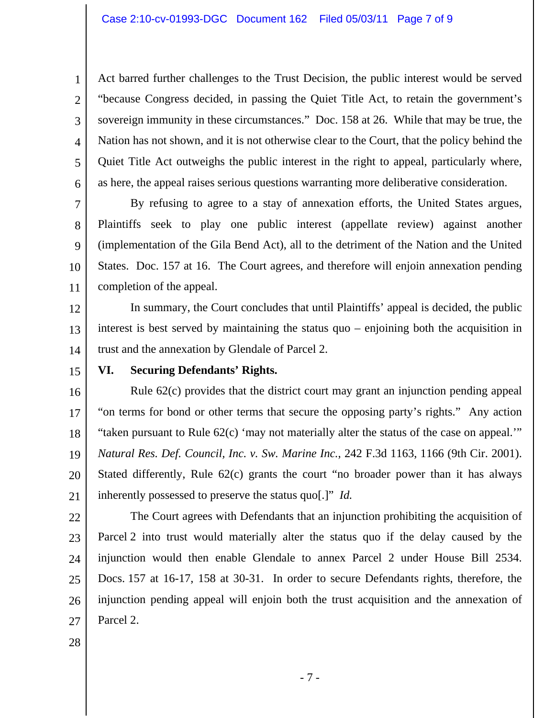Act barred further challenges to the Trust Decision, the public interest would be served "because Congress decided, in passing the Quiet Title Act, to retain the government's sovereign immunity in these circumstances." Doc. 158 at 26. While that may be true, the Nation has not shown, and it is not otherwise clear to the Court, that the policy behind the Quiet Title Act outweighs the public interest in the right to appeal, particularly where, as here, the appeal raises serious questions warranting more deliberative consideration.

7 8 9 10 11 By refusing to agree to a stay of annexation efforts, the United States argues, Plaintiffs seek to play one public interest (appellate review) against another (implementation of the Gila Bend Act), all to the detriment of the Nation and the United States. Doc. 157 at 16. The Court agrees, and therefore will enjoin annexation pending completion of the appeal.

12 13 14 In summary, the Court concludes that until Plaintiffs' appeal is decided, the public interest is best served by maintaining the status quo – enjoining both the acquisition in trust and the annexation by Glendale of Parcel 2.

15

1

2

3

4

5

6

#### **VI. Securing Defendants' Rights.**

16 17 18 19 20 21 Rule 62(c) provides that the district court may grant an injunction pending appeal "on terms for bond or other terms that secure the opposing party's rights." Any action "taken pursuant to Rule 62(c) 'may not materially alter the status of the case on appeal.'" *Natural Res. Def. Council, Inc. v. Sw. Marine Inc.*, 242 F.3d 1163, 1166 (9th Cir. 2001). Stated differently, Rule 62(c) grants the court "no broader power than it has always inherently possessed to preserve the status quo[.]" *Id.*

22

23 24 25 26 27 The Court agrees with Defendants that an injunction prohibiting the acquisition of Parcel 2 into trust would materially alter the status quo if the delay caused by the injunction would then enable Glendale to annex Parcel 2 under House Bill 2534. Docs. 157 at 16-17, 158 at 30-31. In order to secure Defendants rights, therefore, the injunction pending appeal will enjoin both the trust acquisition and the annexation of Parcel 2.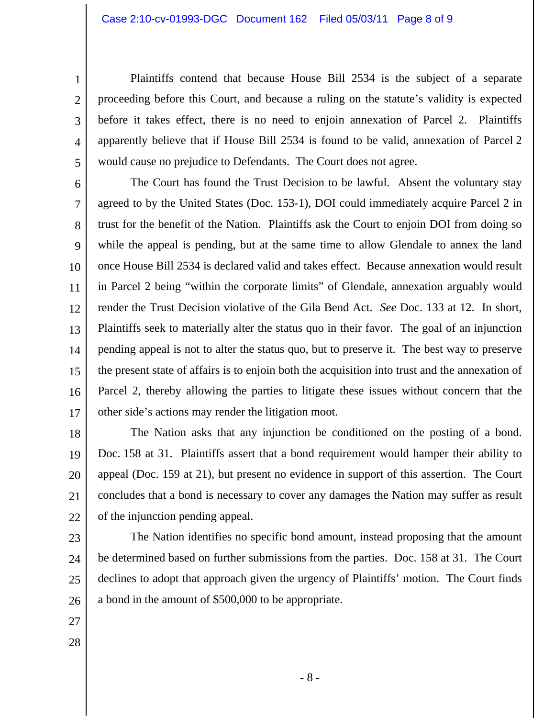Plaintiffs contend that because House Bill 2534 is the subject of a separate proceeding before this Court, and because a ruling on the statute's validity is expected before it takes effect, there is no need to enjoin annexation of Parcel 2. Plaintiffs apparently believe that if House Bill 2534 is found to be valid, annexation of Parcel 2 would cause no prejudice to Defendants. The Court does not agree.

6 7 8 9 10 11 12 13 14 15 16 17 The Court has found the Trust Decision to be lawful. Absent the voluntary stay agreed to by the United States (Doc. 153-1), DOI could immediately acquire Parcel 2 in trust for the benefit of the Nation. Plaintiffs ask the Court to enjoin DOI from doing so while the appeal is pending, but at the same time to allow Glendale to annex the land once House Bill 2534 is declared valid and takes effect. Because annexation would result in Parcel 2 being "within the corporate limits" of Glendale, annexation arguably would render the Trust Decision violative of the Gila Bend Act. *See* Doc. 133 at 12. In short, Plaintiffs seek to materially alter the status quo in their favor. The goal of an injunction pending appeal is not to alter the status quo, but to preserve it. The best way to preserve the present state of affairs is to enjoin both the acquisition into trust and the annexation of Parcel 2, thereby allowing the parties to litigate these issues without concern that the other side's actions may render the litigation moot.

18 19 20 21 22 The Nation asks that any injunction be conditioned on the posting of a bond. Doc. 158 at 31. Plaintiffs assert that a bond requirement would hamper their ability to appeal (Doc. 159 at 21), but present no evidence in support of this assertion. The Court concludes that a bond is necessary to cover any damages the Nation may suffer as result of the injunction pending appeal.

23 24 25 26 The Nation identifies no specific bond amount, instead proposing that the amount be determined based on further submissions from the parties. Doc. 158 at 31. The Court declines to adopt that approach given the urgency of Plaintiffs' motion. The Court finds a bond in the amount of \$500,000 to be appropriate.

27

1

2

3

4

5